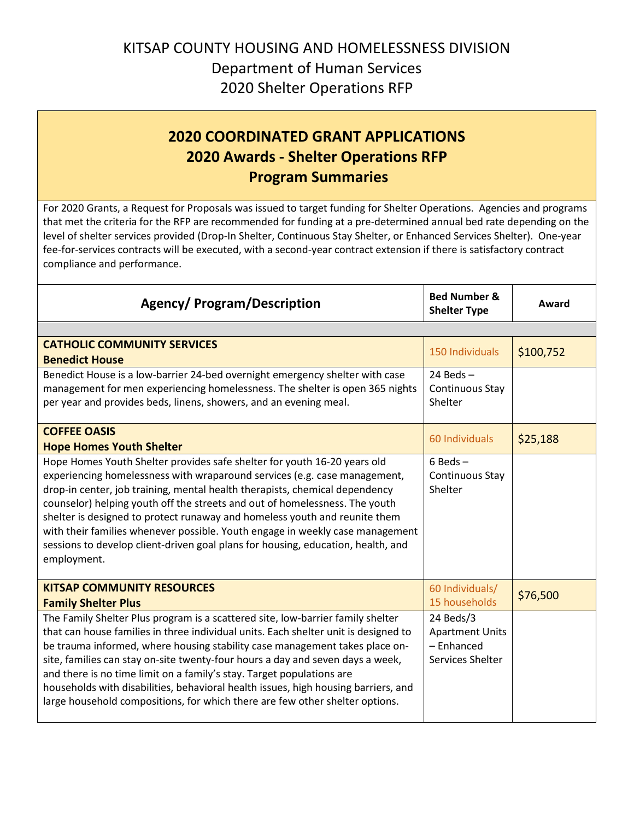## KITSAP COUNTY HOUSING AND HOMELESSNESS DIVISION Department of Human Services 2020 Shelter Operations RFP

## **2020 COORDINATED GRANT APPLICATIONS 2020 Awards - Shelter Operations RFP Program Summaries**

For 2020 Grants, a Request for Proposals was issued to target funding for Shelter Operations. Agencies and programs that met the criteria for the RFP are recommended for funding at a pre-determined annual bed rate depending on the level of shelter services provided (Drop-In Shelter, Continuous Stay Shelter, or Enhanced Services Shelter). One-year fee-for-services contracts will be executed, with a second-year contract extension if there is satisfactory contract compliance and performance.

| <b>Agency/ Program/Description</b>                                                                                                                                                                                                                                                                                                                                                                                                                                                                                                                                                     | <b>Bed Number &amp;</b><br><b>Shelter Type</b>                        | Award     |  |
|----------------------------------------------------------------------------------------------------------------------------------------------------------------------------------------------------------------------------------------------------------------------------------------------------------------------------------------------------------------------------------------------------------------------------------------------------------------------------------------------------------------------------------------------------------------------------------------|-----------------------------------------------------------------------|-----------|--|
|                                                                                                                                                                                                                                                                                                                                                                                                                                                                                                                                                                                        |                                                                       |           |  |
| <b>CATHOLIC COMMUNITY SERVICES</b><br><b>Benedict House</b>                                                                                                                                                                                                                                                                                                                                                                                                                                                                                                                            | 150 Individuals                                                       | \$100,752 |  |
| Benedict House is a low-barrier 24-bed overnight emergency shelter with case<br>management for men experiencing homelessness. The shelter is open 365 nights<br>per year and provides beds, linens, showers, and an evening meal.                                                                                                                                                                                                                                                                                                                                                      | 24 Beds $-$<br>Continuous Stay<br>Shelter                             |           |  |
| <b>COFFEE OASIS</b><br><b>Hope Homes Youth Shelter</b>                                                                                                                                                                                                                                                                                                                                                                                                                                                                                                                                 | 60 Individuals                                                        | \$25,188  |  |
| Hope Homes Youth Shelter provides safe shelter for youth 16-20 years old<br>experiencing homelessness with wraparound services (e.g. case management,<br>drop-in center, job training, mental health therapists, chemical dependency<br>counselor) helping youth off the streets and out of homelessness. The youth<br>shelter is designed to protect runaway and homeless youth and reunite them<br>with their families whenever possible. Youth engage in weekly case management<br>sessions to develop client-driven goal plans for housing, education, health, and<br>employment.  | $6$ Beds $-$<br>Continuous Stay<br>Shelter                            |           |  |
| <b>KITSAP COMMUNITY RESOURCES</b><br><b>Family Shelter Plus</b>                                                                                                                                                                                                                                                                                                                                                                                                                                                                                                                        | 60 Individuals/<br>15 households                                      | \$76,500  |  |
| The Family Shelter Plus program is a scattered site, low-barrier family shelter<br>that can house families in three individual units. Each shelter unit is designed to<br>be trauma informed, where housing stability case management takes place on-<br>site, families can stay on-site twenty-four hours a day and seven days a week,<br>and there is no time limit on a family's stay. Target populations are<br>households with disabilities, behavioral health issues, high housing barriers, and<br>large household compositions, for which there are few other shelter options. | 24 Beds/3<br><b>Apartment Units</b><br>- Enhanced<br>Services Shelter |           |  |